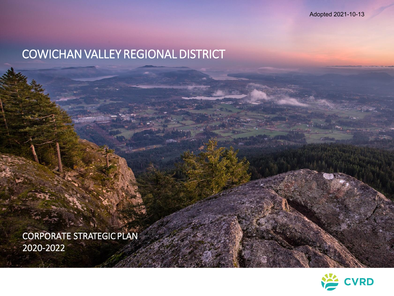Adopted 2021-10-13

# COWICHAN VALLEY REGIONAL DISTRICT

CORPORATE STRATEGIC PLAN 2020-2022

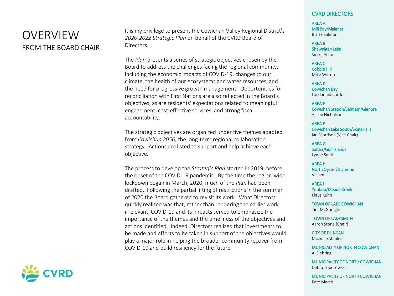### OVERVIEW FROM THE BOARD CHAIR

It is my privilege to present the Cowichan Valley Regional District's *2020-2022 Strategic Plan* on behalf of the CVRD Board of Directors.

The *Plan* presents a series of strategic objectives chosen by the Board to address the challenges facing the regional community, including the economic impacts of COVID-19, changes to our climate, the health of our ecosystems and water resources, and the need for progressive growth management. Opportunities for reconciliation with First Nations are also reflected in the Board's objectives, as are residents' expectations related to meaningful engagement, cost-effective services, and strong fiscal accountability.

The strategic objectives are organized under five themes adapted from *Cowichan 2050*, the long-term regional collaboration strategy. Actions are listed to support and help achieve each objective.

The process to develop the *Strategic Plan* started in 2019, before the onset of the COVID-19 pandemic. By the time the region-wide lockdown began in March, 2020, much of the *Plan* had been drafted. Following the partial lifting of restrictions in the summer of 2020 the Board gathered to revisit its work. What Directors quickly realized was that, rather than rendering the earlier work irrelevant, COVID-19 and its impacts served to emphasize the importance of the themes and the timeliness of the objectives and actions identified. Indeed, Directors realized that investments to be made and efforts to be taken in support of the objectives would play a major role in helping the broader community recover from COVID-19 and build resiliency for the future.



AREA A Mill Bay/Malahat Blaise Salmon

AREA B Shawnigan Lake Sierra Acton

AREA C Cobble Hill Mike Wilson

AREA D Cowichan Bay Lori Iannidinardo

AREA E Cowichan Station/Sahtlam/Glenora Alison Nicholson

AREA F Cowichan Lake South/Skutz Falls Ian Morrison (Vice Chair)

AREA G Saltair/Gulf Islands Lynne Smith

AREA H North Oyster/Diamond Vacant

AREA I Youbou/Meade Creek Klaus Kuhn

TOWN OF LAKE COWICHAN Tim McGonigle

TOWN OF LADYSMITH Aaron Stone (Chair)

CITY OF DUNCAN Michelle Staples

MUNICIALITY OF NORTH COWICHAN Al Siebring

MUNICIPALITY OF NORTH COWICHAN Debra Toporowski

MUNICIPALITY OF NORTH COWICHAN Kate Marsh

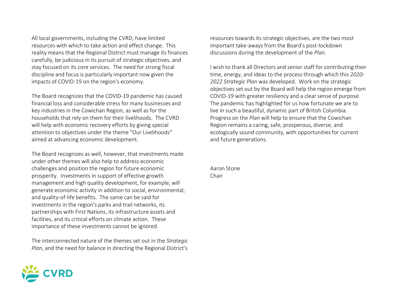All local governments, including the CVRD, have limited resources with which to take action and effect change. This reality means that the Regional District must manage its finances carefully, be judicious in its pursuit of strategic objectives, and stay focused on its core services. The need for strong fiscal discipline and focus is particularly important now given the impacts of COVID-19 on the region's economy.

The Board recognizes that the COVID-19 pandemic has caused financial loss and considerable stress for many businesses and key industries in the Cowichan Region, as well as for the households that rely on them for their livelihoods. The CVRD will help with economic recovery efforts by giving special attention to objectives under the theme "Our Livelihoods" aimed at advancing economic development.

The Board recognizes as well, however, that investments made under other themes will also help to address economic challenges and position the region for future economic prosperity. Investments in support of effective growth management and high quality development, for example, will generate economic activity in addition to social, environmental, and quality-of-life benefits. The same can be said for investments in the region's parks and trail networks, its partnerships with First Nations, its infrastructure assets and facilities, and its critical efforts on climate action. These importance of these investments cannot be ignored.

The interconnected nature of the themes set out in the *Strategic Plan*, and the need for balance in directing the Regional District's



I wish to thank all Directors and senior staff for contributing their time, energy, and ideas to the process through which this *2020- 2022 Strategic Plan* was developed. Work on the strategic objectives set out by the Board will help the region emerge from COVID-19 with greater resiliency and a clear sense of purpose. The pandemic has highlighted for us how fortunate we are to live in such a beautiful, dynamic part of British Columbia. Progress on the *Plan* will help to ensure that the Cowichan Region remains a caring, safe, prosperous, diverse, and ecologically sound community, with opportunities for current and future generations.

Aaron Stone Chair

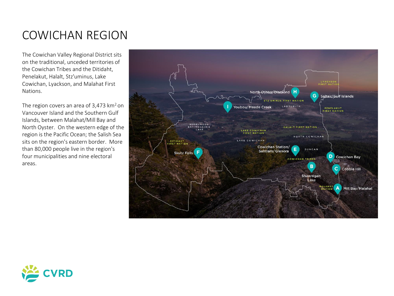# COWICHAN REGION

The Cowichan Valley Regional District sits on the traditional, unceded territories of the Cowichan Tribes and the Ditidaht, Penelakut, Halalt, Stz'uminus, Lake Cowichan, Lyackson, and Malahat First Nations.

The region covers an area of  $3,473$  km<sup>2</sup> on Vancouver Island and the Southern Gulf Islands, between Malahat/Mill Bay and North Oyster. On the western edge of the region is the Pacific Ocean; the Salish Sea sits on the region's eastern border. More than 80,000 people live in the region's four municipalities and nine electoral areas.



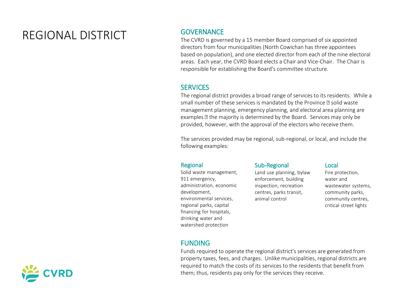# REGIONAL DISTRICT GOVERNANCE

The CVRD is governed by a 15 member Board comprised of six appointed directors from four municipalities (North Cowichan has three appointees based on population), and one elected director from each of the nine electoral areas. Each year, the CVRD Board elects a Chair and Vice-Chair. The Chair is responsible for establishing the Board's committee structure.

### **SERVICES**

The regional district provides a broad range of services to its residents. While a small number of these services is mandated by the Province as solid waste management planning, emergency planning, and electoral area planning are examples a the majority is determined by the Board. Services may only be provided, however, with the approval of the electors who receive them.

The services provided may be regional, sub-regional, or local, and include the following examples:

#### Regional

Solid waste management, 911 emergency, administration, economic development, environmental services, regional parks, capital financing for hospitals, drinking water and watershed protection

### Sub-Regional

Land use planning, bylaw enforcement, building inspection, recreation centres, parks transit, animal control

#### Local

Fire protection, water and wastewater systems, community parks, community centres, critical street lights

### FUNDING

Funds required to operate the regional district's services are generated from property taxes, fees, and charges. Unlike municipalities, regional districts are required to match the costs of its services to the residents that benefit from them; thus, residents pay only for the services they receive.

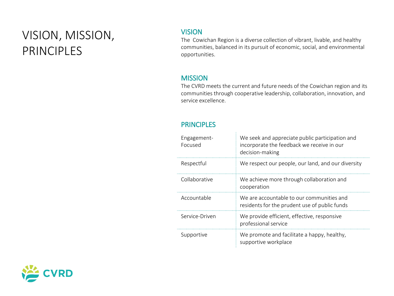# VISION, MISSION, PRINCIPLES

### VISION

The Cowichan Region is a diverse collection of vibrant, livable, and healthy communities, balanced in its pursuit of economic, social, and environmental opportunities.

### **MISSION**

The CVRD meets the current and future needs of the Cowichan region and its communities through cooperative leadership, collaboration, innovation, and service excellence.

### **PRINCIPLES**

| Engagement-<br>Focused | We seek and appreciate public participation and<br>incorporate the feedback we receive in our<br>decision-making |
|------------------------|------------------------------------------------------------------------------------------------------------------|
| Respectful             | We respect our people, our land, and our diversity                                                               |
| Collaborative          | We achieve more through collaboration and<br>cooperation                                                         |
| Accountable            | We are accountable to our communities and<br>residents for the prudent use of public funds                       |
| Service-Driven         | We provide efficient, effective, responsive<br>professional service                                              |
| Supportive             | We promote and facilitate a happy, healthy,<br>supportive workplace                                              |

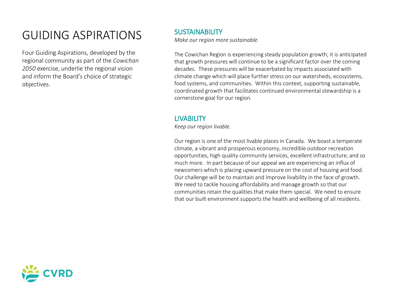# GUIDING ASPIRATIONS SUSTAINABILITY

Four Guiding Aspirations, developed by the regional community as part of the *Cowichan 2050* exercise, underlie the regional vision and inform the Board's choice of strategic objectives.

*Make our region more sustainable.*

The Cowichan Region is experiencing steady population growth; it is anticipated that growth pressures will continue to be a significant factor over the coming decades. These pressures will be exacerbated by impacts associated with climate change which will place further stress on our watersheds, ecosystems, food systems, and communities. Within this context, supporting sustainable, coordinated growth that facilitates continued environmental stewardship is a cornerstone goal for our region.

### **LIVABILITY**

*Keep our region livable.*

Our region is one of the most livable places in Canada. We boast a temperate climate, a vibrant and prosperous economy, incredible outdoor recreation opportunities, high quality community services, excellent infrastructure, and so much more. In part because of our appeal we are experiencing an influx of newcomers which is placing upward pressure on the cost of housing and food. Our challenge will be to maintain and improve livability in the face of growth. We need to tackle housing affordability and manage growth so that our communities retain the qualities that make them special. We need to ensure that our built environment supports the health and wellbeing of all residents.

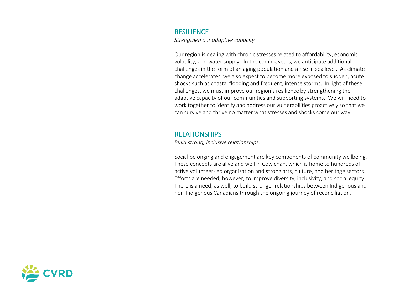#### **RESILIENCE**

*Strengthen our adaptive capacity.*

Our region is dealing with chronic stresses related to affordability, economic volatility, and water supply. In the coming years, we anticipate additional challenges in the form of an aging population and a rise in sea level. As climate change accelerates, we also expect to become more exposed to sudden, acute shocks such as coastal flooding and frequent, intense storms. In light of these challenges, we must improve our region's resilience by strengthening the adaptive capacity of our communities and supporting systems. We will need to work together to identify and address our vulnerabilities proactively so that we can survive and thrive no matter what stresses and shocks come our way.

#### RELATIONSHIPS

*Build strong, inclusive relationships.*

Social belonging and engagement are key components of community wellbeing. These concepts are alive and well in Cowichan, which is home to hundreds of active volunteer-led organization and strong arts, culture, and heritage sectors. Efforts are needed, however, to improve diversity, inclusivity, and social equity. There is a need, as well, to build stronger relationships between Indigenous and non-Indigenous Canadians through the ongoing journey of reconciliation.

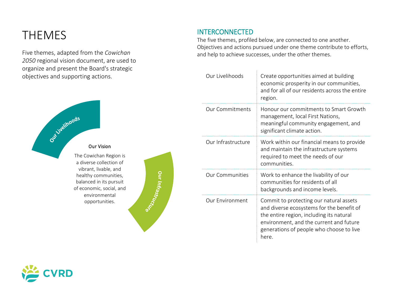# THEMES INTERCONNECTED

Five themes, adapted from the *Cowichan 2050* regional vision document, are used to organize and present the Board's strategic objectives and supporting actions.



The five themes, profiled below, are connected to one another. Objectives and actions pursued under one theme contribute to efforts, and help to achieve successes, under the other themes.

| Our Livelihoods        | Create opportunities aimed at building<br>economic prosperity in our communities,<br>and for all of our residents across the entire<br>region.                                                                                   |
|------------------------|----------------------------------------------------------------------------------------------------------------------------------------------------------------------------------------------------------------------------------|
| <b>Our Commitments</b> | Honour our commitments to Smart Growth<br>management, local First Nations,<br>meaningful community engagement, and<br>significant climate action.                                                                                |
| Our Infrastructure     | Work within our financial means to provide<br>and maintain the infrastructure systems<br>required to meet the needs of our<br>communities.                                                                                       |
| <b>Our Communities</b> | Work to enhance the livability of our<br>communities for residents of all<br>backgrounds and income levels.                                                                                                                      |
| Our Environment        | Commit to protecting our natural assets<br>and diverse ecosystems for the benefit of<br>the entire region, including its natural<br>environment, and the current and future<br>generations of people who choose to live<br>here. |





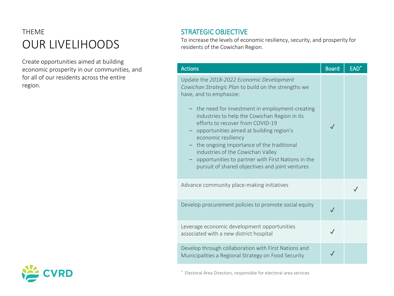# THEME OUR LIVELIHOODS

Create opportunities aimed at building economic prosperity in our communities, and for all of our residents across the entire region.

### STRATEGIC OBJECTIVE

To increase the levels of economic resiliency, security, and prosperity for residents of the Cowichan Region.

| <b>Actions</b>                                                                                                                                                                                                                                                                                                                                                                                                                                                                                                                      | <b>Board</b> | EAD <sup>*</sup> |
|-------------------------------------------------------------------------------------------------------------------------------------------------------------------------------------------------------------------------------------------------------------------------------------------------------------------------------------------------------------------------------------------------------------------------------------------------------------------------------------------------------------------------------------|--------------|------------------|
| Update the 2018-2022 Economic Development<br>Cowichan Strategic Plan to build on the strengths we<br>have, and to emphasize:<br>- the need for investment in employment-creating<br>industries to help the Cowichan Region in its<br>efforts to recover from COVID-19<br>opportunities aimed at building region's<br>economic resiliency<br>the ongoing importance of the traditional<br>industries of the Cowichan Valley<br>opportunities to partner with First Nations in the<br>pursuit of shared objectives and joint ventures |              |                  |
| Advance community place-making initiatives                                                                                                                                                                                                                                                                                                                                                                                                                                                                                          |              |                  |
| Develop procurement policies to promote social equity                                                                                                                                                                                                                                                                                                                                                                                                                                                                               | $\checkmark$ |                  |
| Leverage economic development opportunities<br>associated with a new district hospital                                                                                                                                                                                                                                                                                                                                                                                                                                              |              |                  |
| Develop through collaboration with First Nations and<br>Municipalities a Regional Strategy on Food Security                                                                                                                                                                                                                                                                                                                                                                                                                         |              |                  |



\* Electoral Area Directors, responsible for electoral area services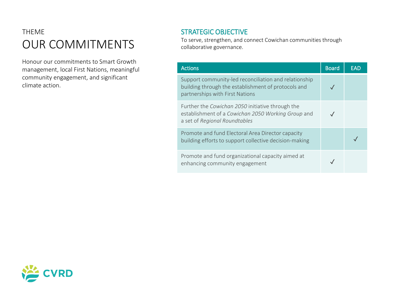# THEME OUR COMMITMENTS

Honour our commitments to Smart Growth management, local First Nations, meaningful community engagement, and significant climate action.

### STRATEGIC OBJECTIVE

To serve, strengthen, and connect Cowichan communities through collaborative governance.

| <b>Actions</b>                                                                                                                                  | <b>Board</b> | EAD |
|-------------------------------------------------------------------------------------------------------------------------------------------------|--------------|-----|
| Support community-led reconciliation and relationship<br>building through the establishment of protocols and<br>partnerships with First Nations |              |     |
| Further the Cowichan 2050 initiative through the<br>establishment of a Cowichan 2050 Working Group and<br>a set of Regional Roundtables         |              |     |
| Promote and fund Electoral Area Director capacity<br>building efforts to support collective decision-making                                     |              |     |
| Promote and fund organizational capacity aimed at<br>enhancing community engagement                                                             |              |     |

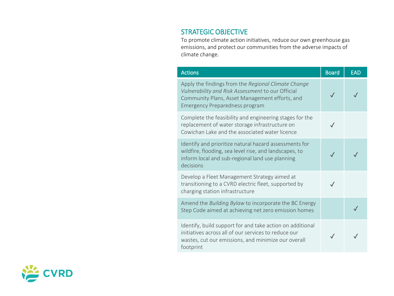### STRATEGIC OBJECTIVE

To promote climate action initiatives, reduce our own greenhouse gas emissions, and protect our communities from the adverse impacts of climate change.

| <b>Actions</b>                                                                                                                                                                                      | <b>Board</b> | <b>EAD</b> |
|-----------------------------------------------------------------------------------------------------------------------------------------------------------------------------------------------------|--------------|------------|
| Apply the findings from the Regional Climate Change<br>Vulnerability and Risk Assessment to our Official<br>Community Plans, Asset Management efforts, and<br><b>Emergency Preparedness program</b> |              |            |
| Complete the feasibility and engineering stages for the<br>replacement of water storage infrastructure on<br>Cowichan Lake and the associated water licence                                         | $\sqrt{}$    |            |
| Identify and prioritize natural hazard assessments for<br>wildfire, flooding, sea level rise, and landscapes, to<br>inform local and sub-regional land use planning<br>decisions                    |              |            |
| Develop a Fleet Management Strategy aimed at<br>transitioning to a CVRD electric fleet, supported by<br>charging station infrastructure                                                             |              |            |
| Amend the Building Bylaw to incorporate the BC Energy<br>Step Code aimed at achieving net zero emission homes                                                                                       |              |            |
| Identify, build support for and take action on additional<br>initiatives across all of our services to reduce our<br>wastes, cut our emissions, and minimize our overall<br>footprint               |              |            |

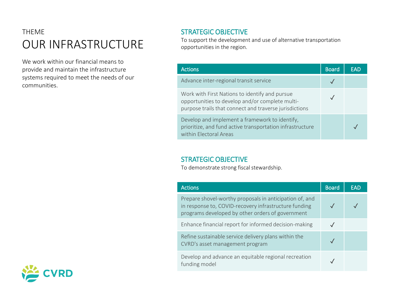### THEME OUR INFRASTRUCTURE

We work within our financial means to provide and maintain the infrastructure systems required to meet the needs of our communities.

### STRATEGIC OBJECTIVE

To support the development and use of alternative transportation opportunities in the region.

| <b>Actions</b>                                                                                                                                              | <b>Board</b> | FAD |
|-------------------------------------------------------------------------------------------------------------------------------------------------------------|--------------|-----|
| Advance inter-regional transit service                                                                                                                      |              |     |
| Work with First Nations to identify and pursue<br>opportunities to develop and/or complete multi-<br>purpose trails that connect and traverse jurisdictions |              |     |
| Develop and implement a framework to identify,<br>prioritize, and fund active transportation infrastructure<br>within Electoral Areas                       |              |     |

### STRATEGIC OBJECTIVE

To demonstrate strong fiscal stewardship.

| <b>Actions</b>                                                                                                                                                       | <b>Board</b> | <b>EAD</b> |
|----------------------------------------------------------------------------------------------------------------------------------------------------------------------|--------------|------------|
| Prepare shovel-worthy proposals in anticipation of, and<br>in response to, COVID-recovery infrastructure funding<br>programs developed by other orders of government |              |            |
| Enhance financial report for informed decision-making                                                                                                                |              |            |
| Refine sustainable service delivery plans within the<br>CVRD's asset management program                                                                              |              |            |
| Develop and advance an equitable regional recreation<br>funding model                                                                                                |              |            |

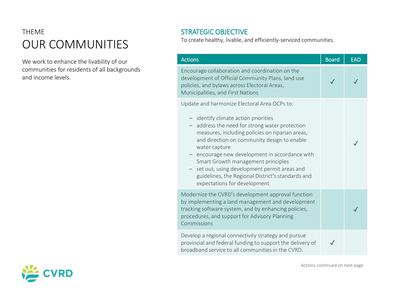# THEME OUR COMMUNITIES

We work to enhance the livability of our communities for residents of all backgrounds and income levels.

### STRATEGIC OBJECTIVE

To create healthy, livable, and efficiently-serviced communities.

| <b>Actions</b>                                                                                                                                                                                                                                                                                                                                                                                                                      | <b>Board</b> | <b>EAD</b> |
|-------------------------------------------------------------------------------------------------------------------------------------------------------------------------------------------------------------------------------------------------------------------------------------------------------------------------------------------------------------------------------------------------------------------------------------|--------------|------------|
| Encourage collaboration and coordination on the<br>development of Official Community Plans, land use<br>policies, and bylaws across Electoral Areas,<br>Municipalities, and First Nations                                                                                                                                                                                                                                           |              |            |
| Update and harmonize Electoral Area OCPs to:                                                                                                                                                                                                                                                                                                                                                                                        |              |            |
| - identify climate action priorities<br>address the need for strong water protection<br>measures, including policies on riparian areas,<br>and direction on community design to enable<br>water capture<br>- encourage new development in accordance with<br>Smart Growth management principles<br>set out, using development permit areas and<br>guidelines, the Regional District's standards and<br>expectations for development |              |            |
| Modernize the CVRD's development approval function<br>by implementing a land management and development<br>tracking software system, and by enhancing policies,<br>procedures, and support for Advisory Planning<br>Commissions                                                                                                                                                                                                     |              |            |
| Develop a regional connectivity strategy and pursue<br>provincial and federal funding to support the delivery of<br>broadband service to all communities in the CVRD.                                                                                                                                                                                                                                                               |              |            |



Actions continued on next page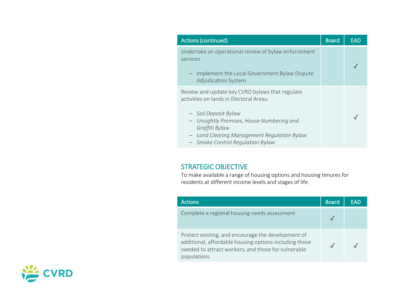| <b>Actions (continued)</b>                                                                                                                                                                                                                               | <b>Board</b> | EAD |
|----------------------------------------------------------------------------------------------------------------------------------------------------------------------------------------------------------------------------------------------------------|--------------|-----|
| Undertake an operational review of bylaw enforcement<br>services<br>- Implement the Local Government Bylaw Dispute<br><b>Adjudication System</b>                                                                                                         |              |     |
| Review and update key CVRD bylaws that regulate<br>activities on lands in Electoral Areas:<br>- Soil Deposit Bylaw<br>Unsightly Premises, House Numbering and<br>$\overline{\phantom{0}}$<br>Graffiti Bylaw<br>Land Clearing Management Regulation Bylaw |              |     |
| <b>Smoke Control Regulation Bylaw</b>                                                                                                                                                                                                                    |              |     |

### STRATEGIC OBJECTIVE

To make available a range of housing options and housing tenures for residents at different income levels and stages of life.

| <b>Actions</b>                                                                                                                                                                     | <b>Board</b> | FAD |
|------------------------------------------------------------------------------------------------------------------------------------------------------------------------------------|--------------|-----|
| Complete a regional housing needs assessment                                                                                                                                       |              |     |
| Protect existing, and encourage the development of<br>additional, affordable housing options including those<br>needed to attract workers, and those for vulnerable<br>populations |              |     |

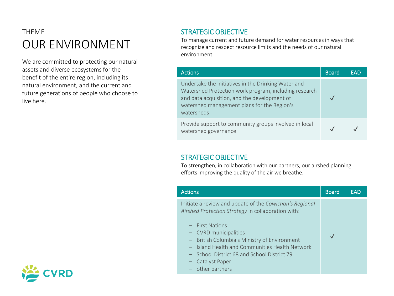# THEME OUR ENVIRONMENT

We are committed to protecting our natural assets and diverse ecosystems for the benefit of the entire region, including its natural environment, and the current and future generations of people who choose to live here.

### STRATEGIC OBJECTIVE

To manage current and future demand for water resources in ways that recognize and respect resource limits and the needs of our natural environment.

| <b>Actions</b>                                                                                                                                                                                                            | <b>Board</b> | EAD |
|---------------------------------------------------------------------------------------------------------------------------------------------------------------------------------------------------------------------------|--------------|-----|
| Undertake the initiatives in the Drinking Water and<br>Watershed Protection work program, including research<br>and data acquisition, and the development of<br>watershed management plans for the Region's<br>watersheds |              |     |
| Provide support to community groups involved in local<br>watershed governance                                                                                                                                             |              |     |

### STRATEGIC OBJECTIVE

To strengthen, in collaboration with our partners, our airshed planning efforts improving the quality of the air we breathe.

| <b>Actions</b>                                                                                                                                                                                                                                                                                                                                       | <b>Board</b> | <b>EAD</b> |
|------------------------------------------------------------------------------------------------------------------------------------------------------------------------------------------------------------------------------------------------------------------------------------------------------------------------------------------------------|--------------|------------|
| Initiate a review and update of the Cowichan's Regional<br>Airshed Protection Strategy in collaboration with:<br>$-$ First Nations<br>- CVRD municipalities<br>- British Columbia's Ministry of Environment<br>- Island Health and Communities Health Network<br>- School District 68 and School District 79<br>- Catalyst Paper<br>- other partners |              |            |